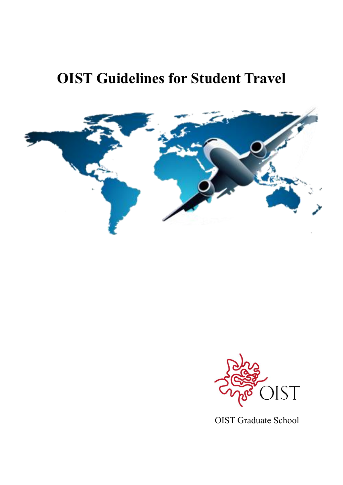# **OIST Guidelines for Student Travel**





OIST Graduate School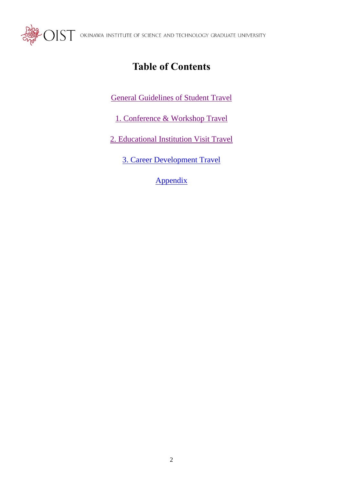<span id="page-1-0"></span>

 $\mathcal{L} \text{O} \text{IST}$  okinawa institute of science and technology graduate university

# **Table of Contents**

[General Guidelines](#page-2-0) of Student Travel

1. Conference & [Workshop Travel](#page-4-0)

2. Educational Institution Visit Travel

[3. Career Development Travel](#page-10-0)

[Appendix](#page-1-0)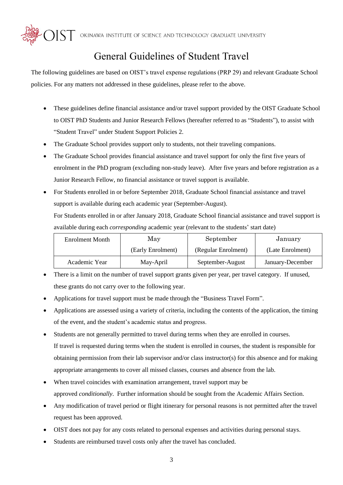${\rm\bf \sum}\Gamma$  okinawa institute of science and technology graduate university

# General Guidelines of Student Travel

<span id="page-2-0"></span>The following guidelines are based on OIST's travel expense regulations (PRP 29) and relevant Graduate School policies. For any matters not addressed in these guidelines, please refer to the above.

- These guidelines define financial assistance and/or travel support provided by the OIST Graduate School to OIST PhD Students and Junior Research Fellows (hereafter referred to as "Students"), to assist with "Student Travel" under Student Support Policies 2.
- The Graduate School provides support only to students, not their traveling companions.
- The Graduate School provides financial assistance and travel support for only the first five years of enrolment in the PhD program (excluding non-study leave). After five years and before registration as a Junior Research Fellow, no financial assistance or travel support is available.
- For Students enrolled in or before September 2018, Graduate School financial assistance and travel support is available during each academic year (September-August).

For Students enrolled in or after January 2018, Graduate School financial assistance and travel support is available during each *corresponding* academic year (relevant to the students' start date)

| <b>Enrolment Month</b> | May               | September           | January          |
|------------------------|-------------------|---------------------|------------------|
|                        | (Early Enrolment) | (Regular Enrolment) | (Late Enrolment) |
| Academic Year          | May-April         | September-August    | January-December |

- There is a limit on the number of travel support grants given per year, per travel category. If unused, these grants do not carry over to the following year.
- Applications for travel support must be made through the "Business Travel Form".
- Applications are assessed using a variety of criteria, including the contents of the application, the timing of the event, and the student's academic status and progress.
- Students are not generally permitted to travel during terms when they are enrolled in courses. If travel is requested during terms when the student is enrolled in courses, the student is responsible for obtaining permission from their lab supervisor and/or class instructor(s) for this absence and for making appropriate arrangements to cover all missed classes, courses and absence from the lab.
- When travel coincides with examination arrangement, travel support may be approved *conditionally*. Further information should be sought from the Academic Affairs Section.
- Any modification of travel period or flight itinerary for personal reasons is not permitted after the travel request has been approved.
- OIST does not pay for any costs related to personal expenses and activities during personal stays.
- Students are reimbursed travel costs only after the travel has concluded.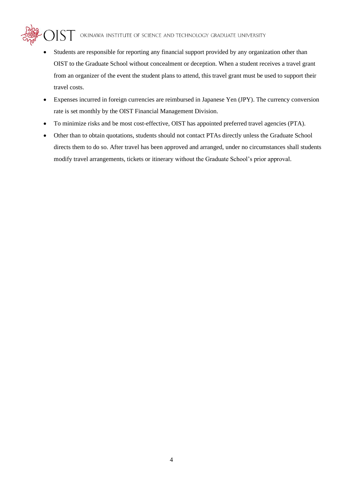- Students are responsible for reporting any financial support provided by any organization other than OIST to the Graduate School without concealment or deception. When a student receives a travel grant from an organizer of the event the student plans to attend, this travel grant must be used to support their travel costs.
- Expenses incurred in foreign currencies are reimbursed in Japanese Yen (JPY). The currency conversion rate is set monthly by the OIST Financial Management Division.
- To minimize risks and be most cost-effective, OIST has appointed preferred travel agencies (PTA).
- Other than to obtain quotations, students should not contact PTAs directly unless the Graduate School directs them to do so. After travel has been approved and arranged, under no circumstances shall students modify travel arrangements, tickets or itinerary without the Graduate School's prior approval.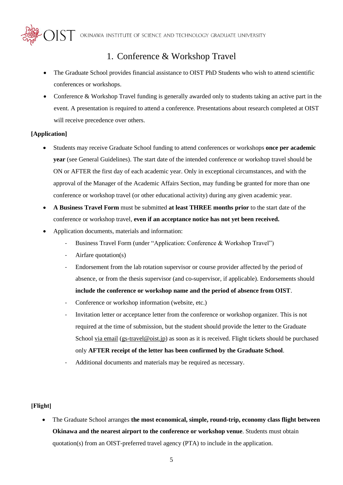$\rm{MST}$  okinawa institute of science and technology graduate university

# 1. Conference & Workshop Travel

- <span id="page-4-0"></span>• The Graduate School provides financial assistance to OIST PhD Students who wish to attend scientific conferences or workshops.
- Conference & Workshop Travel funding is generally awarded only to students taking an active part in the event. A presentation is required to attend a conference. Presentations about research completed at OIST will receive precedence over others.

#### **[Application]**

- Students may receive Graduate School funding to attend conferences or workshops **once per academic year** (see General Guidelines). The start date of the intended conference or workshop travel should be ON or AFTER the first day of each academic year. Only in exceptional circumstances, and with the approval of the Manager of the Academic Affairs Section, may funding be granted for more than one conference or workshop travel (or other educational activity) during any given academic year.
- **A Business Travel Form** must be submitted **at least THREE months prior** to the start date of the conference or workshop travel, **even if an acceptance notice has not yet been received.**
- Application documents, materials and information:
	- Business Travel Form (under "Application: Conference & Workshop Travel")
	- Airfare quotation(s)
	- Endorsement from the lab rotation supervisor or course provider affected by the period of absence, or from the thesis supervisor (and co-supervisor, if applicable). Endorsements should **include the conference or workshop name and the period of absence from OIST**.
	- Conference or workshop information (website, etc.)
	- Invitation letter or acceptance letter from the conference or workshop organizer. This is not required at the time of submission, but the student should provide the letter to the Graduate School via email [\(gs-travel@oist.jp\)](mailto:gs-travel@oist.jp) as soon as it is received. Flight tickets should be purchased only **AFTER receipt of the letter has been confirmed by the Graduate School**.
	- Additional documents and materials may be required as necessary.

#### **[Flight]**

• The Graduate School arranges **the most economical, simple, round-trip, economy class flight between Okinawa and the nearest airport to the conference or workshop venue**. Students must obtain quotation(s) from an OIST-preferred travel agency (PTA) to include in the application.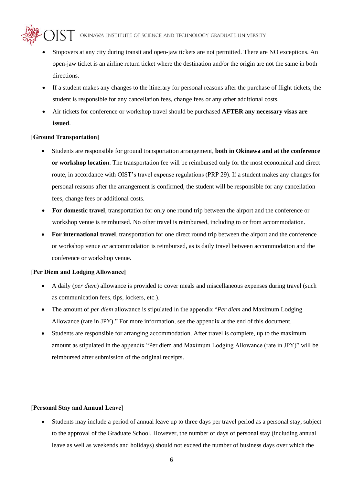- Stopovers at any city during transit and open-jaw tickets are not permitted. There are NO exceptions. An open-jaw ticket is an airline return ticket where the destination and/or the origin are not the same in both directions.
- If a student makes any changes to the itinerary for personal reasons after the purchase of flight tickets, the student is responsible for any cancellation fees, change fees or any other additional costs.
- Air tickets for conference or workshop travel should be purchased **AFTER any necessary visas are issued**.

#### **[Ground Transportation]**

- Students are responsible for ground transportation arrangement, **both in Okinawa and at the conference or workshop location**. The transportation fee will be reimbursed only for the most economical and direct route, in accordance with OIST's travel expense regulations (PRP 29). If a student makes any changes for personal reasons after the arrangement is confirmed, the student will be responsible for any cancellation fees, change fees or additional costs.
- **For domestic travel**, transportation for only one round trip between the airport and the conference or workshop venue is reimbursed. No other travel is reimbursed, including to or from accommodation.
- **For international travel**, transportation for one direct round trip between the airport and the conference or workshop venue *or* accommodation is reimbursed, as is daily travel between accommodation and the conference or workshop venue.

#### **[Per Diem and Lodging Allowance]**

- A daily (*per diem*) allowance is provided to cover meals and miscellaneous expenses during travel (such as communication fees, tips, lockers, etc.).
- The amount of *per diem* allowance is stipulated in the appendix "*Per diem* and Maximum Lodging Allowance (rate in JPY)." For more information, see the appendix at the end of this document.
- Students are responsible for arranging accommodation. After travel is complete, up to the maximum amount as stipulated in the appendix "Per diem and Maximum Lodging Allowance (rate in JPY)" will be reimbursed after submission of the original receipts.

#### **[Personal Stay and Annual Leave]**

• Students may include a period of annual leave up to three days per travel period as a personal stay, subject to the approval of the Graduate School. However, the number of days of personal stay (including annual leave as well as weekends and holidays) should not exceed the number of business days over which the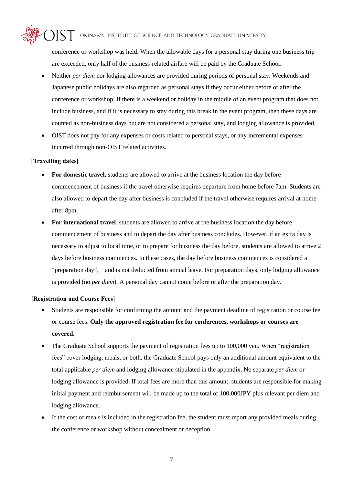conference or workshop was held. When the allowable days for a personal stay during one business trip are exceeded, only half of the business-related airfare will be paid by the Graduate School.

- Neither *per diem* nor lodging allowances are provided during periods of personal stay. Weekends and Japanese public holidays are also regarded as personal stays if they occur either before or after the conference or workshop. If there is a weekend or holiday in the middle of an event program that does not include business, and if it is necessary to stay during this break in the event program, then these days are counted as non-business days but are not considered a personal stay, and lodging allowance is provided.
- OIST does not pay for any expenses or costs related to personal stays, or any incremental expenses incurred through non-OIST related activities.

### **[Travelling dates]**

- **For domestic travel**, students are allowed to arrive at the business location the day before commencement of business if the travel otherwise requires departure from home before 7am. Students are also allowed to depart the day after business is concluded if the travel otherwise requires arrival at home after 8pm.
- **For international travel**, students are allowed to arrive at the business location the day before commencement of business and to depart the day after business concludes. However, if an extra day is necessary to adjust to local time, or to prepare for business the day before, students are allowed to arrive 2 days before business commences. In these cases, the day before business commences is considered a "preparation day", and is not deducted from annual leave. For preparation days, only lodging allowance is provided (no *per diem*). A personal day cannot come before or after the preparation day.

#### **[Registration and Course Fees]**

- Students are responsible for confirming the amount and the payment deadline of registration or course fee or course fees. **Only the approved registration fee for conferences, workshops or courses are covered.**
- The Graduate School supports the payment of registration fees up to 100,000 yen. When "registration fees" cover lodging, meals, or both, the Graduate School pays only an additional amount equivalent to the total applicable *per diem* and lodging allowance stipulated in the appendix. No separate *per diem* or lodging allowance is provided. If total fees are more than this amount, students are responsible for making initial payment and reimbursement will be made up to the total of 100,000JPY plus relevant per diem and lodging allowance.
- If the cost of meals is included in the registration fee, the student must report any provided meals during the conference or workshop without concealment or deception.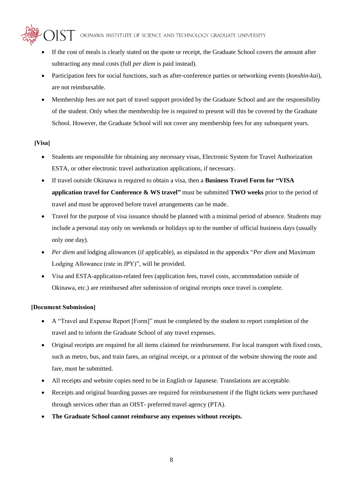- If the cost of meals is clearly stated on the quote or receipt, the Graduate School covers the amount after subtracting any meal costs (full *per diem* is paid instead).
- Participation fees for social functions, such as after-conference parties or networking events (*konshin-kai*), are not reimbursable.
- Membership fees are not part of travel support provided by the Graduate School and are the responsibility of the student. Only when the membership fee is required to present will this be covered by the Graduate School. However, the Graduate School will not cover any membership fees for any subsequent years.

### **[Visa]**

- Students are responsible for obtaining any necessary visas, Electronic System for Travel Authorization ESTA, or other electronic travel authorization applications, if necessary.
- If travel outside Okinawa is required to obtain a visa, then a **Business Travel Form for "VISA application travel for Conference & WS travel"** must be submitted **TWO weeks** prior to the period of travel and must be approved before travel arrangements can be made.
- Travel for the purpose of visa issuance should be planned with a minimal period of absence. Students may include a personal stay only on weekends or holidays up to the number of official business days (usually only one day).
- *Per diem* and lodging allowances (if applicable), as stipulated in the appendix "*Per diem* and Maximum Lodging Allowance (rate in JPY)", will be provided.
- Visa and ESTA-application-related fees (application fees, travel costs, accommodation outside of Okinawa, etc.) are reimbursed after submission of original receipts once travel is complete.

#### **[Document Submission]**

- A "Travel and Expense Report [Form]" must be completed by the student to report completion of the travel and to inform the Graduate School of any travel expenses.
- Original receipts are required for all items claimed for reimbursement. For local transport with fixed costs, such as metro, bus, and train fares, an original receipt, or a printout of the website showing the route and fare, must be submitted.
- All receipts and website copies need to be in English or Japanese. Translations are acceptable.
- Receipts and original boarding passes are required for reimbursement if the flight tickets were purchased through services other than an OIST- preferred travel agency (PTA).
- **The Graduate School cannot reimburse any expenses without receipts.**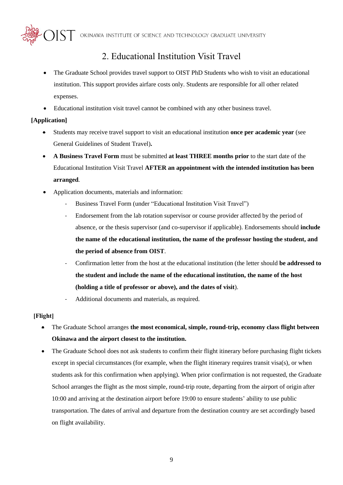$\rm MST$  okinawa institute of science and technology graduate university

# 2. Educational Institution Visit Travel

- The Graduate School provides travel support to OIST PhD Students who wish to visit an educational institution. This support provides airfare costs only. Students are responsible for all other related expenses.
- Educational institution visit travel cannot be combined with any other business travel.

### **[Application]**

- Students may receive travel support to visit an educational institution **once per academic year** (see General Guidelines of Student Travel)**.**
- **A Business Travel Form** must be submitted **at least THREE months prior** to the start date of the Educational Institution Visit Travel **AFTER an appointment with the intended institution has been arranged**.
- Application documents, materials and information:
	- Business Travel Form (under "Educational Institution Visit Travel")
	- Endorsement from the lab rotation supervisor or course provider affected by the period of absence, or the thesis supervisor (and co-supervisor if applicable). Endorsements should **include the name of the educational institution, the name of the professor hosting the student, and the period of absence from OIST**.
	- Confirmation letter from the host at the educational institution (the letter should **be addressed to the student and include the name of the educational institution, the name of the host (holding a title of professor or above), and the dates of visit**).
	- Additional documents and materials, as required.

### **[Flight]**

- The Graduate School arranges **the most economical, simple, round-trip, economy class flight between Okinawa and the airport closest to the institution.**
- The Graduate School does not ask students to confirm their flight itinerary before purchasing flight tickets except in special circumstances (for example, when the flight itinerary requires transit visa(s), or when students ask for this confirmation when applying). When prior confirmation is not requested, the Graduate School arranges the flight as the most simple, round-trip route, departing from the airport of origin after 10:00 and arriving at the destination airport before 19:00 to ensure students' ability to use public transportation. The dates of arrival and departure from the destination country are set accordingly based on flight availability.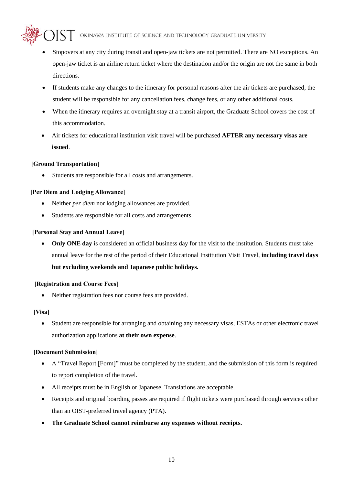- Stopovers at any city during transit and open-jaw tickets are not permitted. There are NO exceptions. An open-jaw ticket is an airline return ticket where the destination and/or the origin are not the same in both directions.
- If students make any changes to the itinerary for personal reasons after the air tickets are purchased, the student will be responsible for any cancellation fees, change fees, or any other additional costs.
- When the itinerary requires an overnight stay at a transit airport, the Graduate School covers the cost of this accommodation.
- Air tickets for educational institution visit travel will be purchased **AFTER any necessary visas are issued**.

### **[Ground Transportation]**

• Students are responsible for all costs and arrangements.

#### **[Per Diem and Lodging Allowance]**

- Neither *per diem* nor lodging allowances are provided.
- Students are responsible for all costs and arrangements.

#### **[Personal Stay and Annual Leave]**

• **Only ONE day** is considered an official business day for the visit to the institution. Students must take annual leave for the rest of the period of their Educational Institution Visit Travel, **including travel days but excluding weekends and Japanese public holidays.** 

#### **[Registration and Course Fees]**

• Neither registration fees nor course fees are provided.

#### **[Visa]**

• Student are responsible for arranging and obtaining any necessary visas, ESTAs or other electronic travel authorization applications **at their own expense**.

#### **[Document Submission]**

- A "Travel Report [Form]" must be completed by the student, and the submission of this form is required to report completion of the travel.
- All receipts must be in English or Japanese. Translations are acceptable.
- Receipts and original boarding passes are required if flight tickets were purchased through services other than an OIST-preferred travel agency (PTA).
- **The Graduate School cannot reimburse any expenses without receipts.**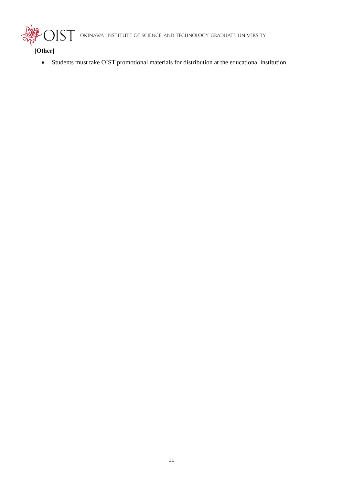<span id="page-10-0"></span> $S\overline{T}$  okinawa institute of science and technology graduate university

**[Other]**

• Students must take OIST promotional materials for distribution at the educational institution.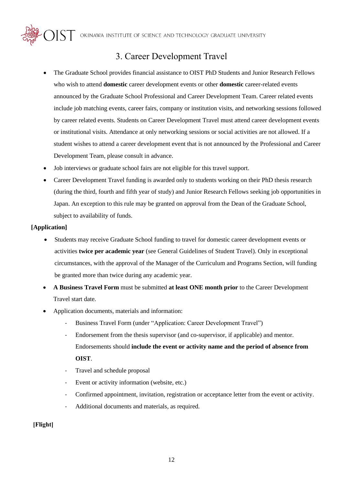$\sum_{i=1}^{n}$  okinawa institute of science and technology graduate university

## 3. Career Development Travel

- The Graduate School provides financial assistance to OIST PhD Students and Junior Research Fellows who wish to attend **domestic** career development events or other **domestic** career-related events announced by the Graduate School Professional and Career Development Team. Career related events include job matching events, career fairs, company or institution visits, and networking sessions followed by career related events. Students on Career Development Travel must attend career development events or institutional visits. Attendance at only networking sessions or social activities are not allowed. If a student wishes to attend a career development event that is not announced by the Professional and Career Development Team, please consult in advance.
- Job interviews or graduate school fairs are not eligible for this travel support.
- Career Development Travel funding is awarded only to students working on their PhD thesis research (during the third, fourth and fifth year of study) and Junior Research Fellows seeking job opportunities in Japan. An exception to this rule may be granted on approval from the Dean of the Graduate School, subject to availability of funds.

#### **[Application]**

- Students may receive Graduate School funding to travel for domestic career development events or activities **twice per academic year** (see General Guidelines of Student Travel). Only in exceptional circumstances, with the approval of the Manager of the Curriculum and Programs Section, will funding be granted more than twice during any academic year.
- **A Business Travel Form** must be submitted **at least ONE month prior** to the Career Development Travel start date.
- Application documents, materials and information:
	- Business Travel Form (under "Application: Career Development Travel")
	- Endorsement from the thesis supervisor (and co-supervisor, if applicable) and mentor. Endorsements should **include the event or activity name and the period of absence from OIST**.
	- Travel and schedule proposal
	- Event or activity information (website, etc.)
	- Confirmed appointment, invitation, registration or acceptance letter from the event or activity.
	- Additional documents and materials, as required.

#### **[Flight]**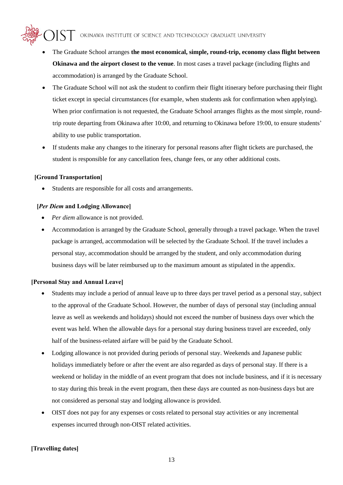- The Graduate School arranges **the most economical, simple, round-trip, economy class flight between Okinawa and the airport closest to the venue**. In most cases a travel package (including flights and accommodation) is arranged by the Graduate School.
- The Graduate School will not ask the student to confirm their flight itinerary before purchasing their flight ticket except in special circumstances (for example, when students ask for confirmation when applying). When prior confirmation is not requested, the Graduate School arranges flights as the most simple, roundtrip route departing from Okinawa after 10:00, and returning to Okinawa before 19:00, to ensure students' ability to use public transportation.
- If students make any changes to the itinerary for personal reasons after flight tickets are purchased, the student is responsible for any cancellation fees, change fees, or any other additional costs.

#### **[Ground Transportation]**

Students are responsible for all costs and arrangements.

#### **[***Per Diem* **and Lodging Allowance]**

- *Per diem* allowance is not provided.
- Accommodation is arranged by the Graduate School, generally through a travel package. When the travel package is arranged, accommodation will be selected by the Graduate School. If the travel includes a personal stay, accommodation should be arranged by the student, and only accommodation during business days will be later reimbursed up to the maximum amount as stipulated in the appendix.

#### **[Personal Stay and Annual Leave]**

- Students may include a period of annual leave up to three days per travel period as a personal stay, subject to the approval of the Graduate School. However, the number of days of personal stay (including annual leave as well as weekends and holidays) should not exceed the number of business days over which the event was held. When the allowable days for a personal stay during business travel are exceeded, only half of the business-related airfare will be paid by the Graduate School.
- Lodging allowance is not provided during periods of personal stay. Weekends and Japanese public holidays immediately before or after the event are also regarded as days of personal stay. If there is a weekend or holiday in the middle of an event program that does not include business, and if it is necessary to stay during this break in the event program, then these days are counted as non-business days but are not considered as personal stay and lodging allowance is provided.
- OIST does not pay for any expenses or costs related to personal stay activities or any incremental expenses incurred through non-OIST related activities.

#### **[Travelling dates]**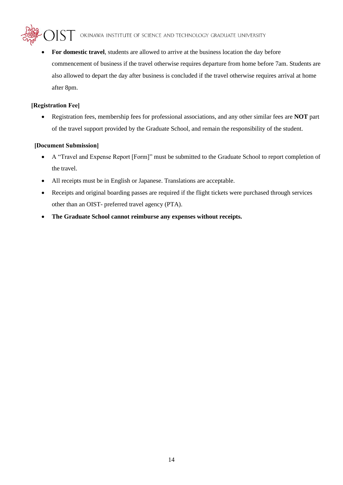• **For domestic travel**, students are allowed to arrive at the business location the day before commencement of business if the travel otherwise requires departure from home before 7am. Students are also allowed to depart the day after business is concluded if the travel otherwise requires arrival at home after 8pm.

### **[Registration Fee]**

• Registration fees, membership fees for professional associations, and any other similar fees are **NOT** part of the travel support provided by the Graduate School, and remain the responsibility of the student.

### **[Document Submission]**

- A "Travel and Expense Report [Form]" must be submitted to the Graduate School to report completion of the travel.
- All receipts must be in English or Japanese. Translations are acceptable.
- Receipts and original boarding passes are required if the flight tickets were purchased through services other than an OIST- preferred travel agency (PTA).
- **The Graduate School cannot reimburse any expenses without receipts.**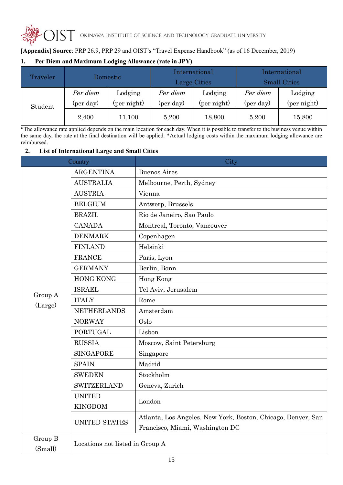

### **[Appendix] Source**: PRP 26.9, PRP 29 and OIST's "Travel Expense Handbook" (as of 16 December, 2019)

### **1. Per Diem and Maximum Lodging Allowance (rate in JPY)**

| Traveler | Domestic              |                        | International<br>Large Cities |                        | International<br><b>Small Cities</b> |                        |
|----------|-----------------------|------------------------|-------------------------------|------------------------|--------------------------------------|------------------------|
| Student  | Per diem<br>(per day) | Lodging<br>(per night) | Per diem<br>(per day)         | Lodging<br>(per night) | Per diem<br>(per day)                | Lodging<br>(per night) |
|          | 2,400                 | 11,100                 | 5,200                         | 18,800                 | 5,200                                | 15,800                 |

<sup>\*</sup>The allowance rate applied depends on the main location for each day. When it is possible to transfer to the business venue within the same day, the rate at the final destination will be applied. \*Actual lodging costs within the maximum lodging allowance are reimbursed.

#### **2. List of International Large and Small Cities**

| Country            |                                 | City                                                         |  |  |
|--------------------|---------------------------------|--------------------------------------------------------------|--|--|
|                    | <b>ARGENTINA</b>                | <b>Buenos Aires</b>                                          |  |  |
|                    | <b>AUSTRALIA</b>                | Melbourne, Perth, Sydney                                     |  |  |
|                    | <b>AUSTRIA</b>                  | Vienna                                                       |  |  |
|                    | <b>BELGIUM</b>                  | Antwerp, Brussels                                            |  |  |
|                    | <b>BRAZIL</b>                   | Rio de Janeiro, Sao Paulo                                    |  |  |
|                    | <b>CANADA</b>                   | Montreal, Toronto, Vancouver                                 |  |  |
|                    | <b>DENMARK</b>                  | Copenhagen                                                   |  |  |
|                    | <b>FINLAND</b>                  | Helsinki                                                     |  |  |
|                    | <b>FRANCE</b>                   | Paris, Lyon                                                  |  |  |
|                    | <b>GERMANY</b>                  | Berlin, Bonn                                                 |  |  |
|                    | <b>HONG KONG</b>                | Hong Kong                                                    |  |  |
|                    | <b>ISRAEL</b>                   | Tel Aviv, Jerusalem                                          |  |  |
| Group A<br>(Large) | <b>ITALY</b>                    | Rome                                                         |  |  |
|                    | <b>NETHERLANDS</b>              | Amsterdam                                                    |  |  |
|                    | <b>NORWAY</b>                   | Oslo                                                         |  |  |
|                    | <b>PORTUGAL</b>                 | Lisbon                                                       |  |  |
|                    | <b>RUSSIA</b>                   | Moscow, Saint Petersburg                                     |  |  |
|                    | <b>SINGAPORE</b>                | Singapore                                                    |  |  |
|                    | <b>SPAIN</b>                    | Madrid                                                       |  |  |
|                    | <b>SWEDEN</b>                   | Stockholm                                                    |  |  |
|                    | <b>SWITZERLAND</b>              | Geneva, Zurich                                               |  |  |
|                    | <b>UNITED</b>                   | London                                                       |  |  |
|                    | <b>KINGDOM</b>                  |                                                              |  |  |
|                    | <b>UNITED STATES</b>            | Atlanta, Los Angeles, New York, Boston, Chicago, Denver, San |  |  |
|                    |                                 | Francisco, Miami, Washington DC                              |  |  |
| Group B<br>(Small) | Locations not listed in Group A |                                                              |  |  |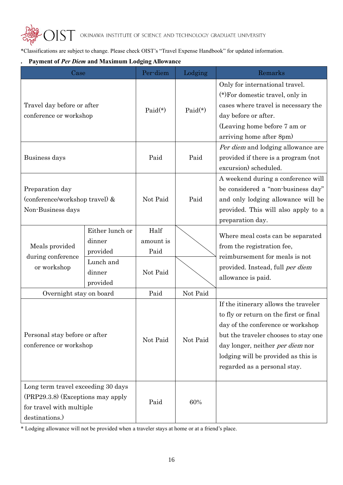\*Classifications are subject to change. Please check OIST's "Travel Expense Handbook" for updated information.

#### **. Payment of** *Per Diem* **and Maximum Lodging Allowance**

| Case                                                                                                                    |                                                                          | Per-diem                              | Lodging   | Remarks                                                                                                                                                                                                                                                                       |
|-------------------------------------------------------------------------------------------------------------------------|--------------------------------------------------------------------------|---------------------------------------|-----------|-------------------------------------------------------------------------------------------------------------------------------------------------------------------------------------------------------------------------------------------------------------------------------|
| Travel day before or after<br>conference or workshop                                                                    |                                                                          | $Paid(*)$                             | $Paid(*)$ | Only for international travel.<br>(*) For domestic travel, only in<br>cases where travel is necessary the<br>day before or after.<br>(Leaving home before 7 am or<br>arriving home after 8pm)                                                                                 |
| Business days                                                                                                           |                                                                          | Paid                                  | Paid      | Per diem and lodging allowance are<br>provided if there is a program (not<br>excursion) scheduled.                                                                                                                                                                            |
| Preparation day<br>(conference/workshop travel) &<br>Non-Business days                                                  |                                                                          | Not Paid                              | Paid      | A weekend during a conference will<br>be considered a "non-business day"<br>and only lodging allowance will be<br>provided. This will also apply to a<br>preparation day.                                                                                                     |
| Meals provided<br>during conference<br>or workshop                                                                      | Either lunch or<br>dinner<br>provided<br>Lunch and<br>dinner<br>provided | Half<br>amount is<br>Paid<br>Not Paid |           | Where meal costs can be separated<br>from the registration fee,<br>reimbursement for meals is not<br>provided. Instead, full per diem<br>allowance is paid.                                                                                                                   |
| Overnight stay on board                                                                                                 |                                                                          | Paid                                  | Not Paid  |                                                                                                                                                                                                                                                                               |
| Personal stay before or after<br>conference or workshop                                                                 |                                                                          | Not Paid                              | Not Paid  | If the itinerary allows the traveler<br>to fly or return on the first or final<br>day of the conference or workshop<br>but the traveler chooses to stay one<br>day longer, neither <i>per diem</i> nor<br>lodging will be provided as this is<br>regarded as a personal stay. |
| Long term travel exceeding 30 days<br>$(PRP29.3.8)$ (Exceptions may apply<br>for travel with multiple<br>destinations.) |                                                                          | Paid                                  | 60%       |                                                                                                                                                                                                                                                                               |

\* Lodging allowance will not be provided when a traveler stays at home or at a friend's place.